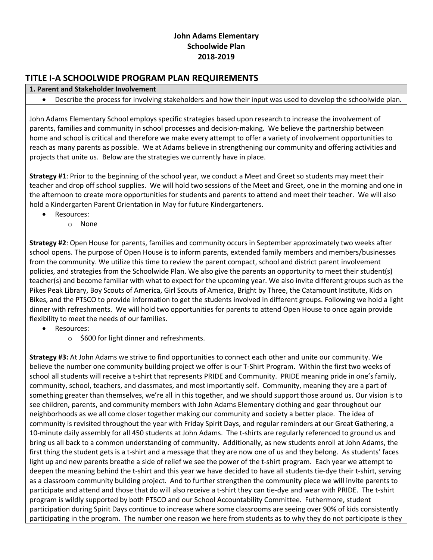## **John Adams Elementary Schoolwide Plan 2018-2019**

# **TITLE I-A SCHOOLWIDE PROGRAM PLAN REQUIREMENTS**

#### **1. Parent and Stakeholder Involvement**

• Describe the process for involving stakeholders and how their input was used to develop the schoolwide plan.

John Adams Elementary School employs specific strategies based upon research to increase the involvement of parents, families and community in school processes and decision-making. We believe the partnership between home and school is critical and therefore we make every attempt to offer a variety of involvement opportunities to reach as many parents as possible. We at Adams believe in strengthening our community and offering activities and projects that unite us. Below are the strategies we currently have in place.

**Strategy #1**: Prior to the beginning of the school year, we conduct a Meet and Greet so students may meet their teacher and drop off school supplies. We will hold two sessions of the Meet and Greet, one in the morning and one in the afternoon to create more opportunities for students and parents to attend and meet their teacher. We will also hold a Kindergarten Parent Orientation in May for future Kindergarteners.

- Resources:
	- o None

**Strategy #2**: Open House for parents, families and community occurs in September approximately two weeks after school opens. The purpose of Open House is to inform parents, extended family members and members/businesses from the community. We utilize this time to review the parent compact, school and district parent involvement policies, and strategies from the Schoolwide Plan. We also give the parents an opportunity to meet their student(s) teacher(s) and become familiar with what to expect for the upcoming year. We also invite different groups such as the Pikes Peak Library, Boy Scouts of America, Girl Scouts of America, Bright by Three, the Catamount Institute, Kids on Bikes, and the PTSCO to provide information to get the students involved in different groups. Following we hold a light dinner with refreshments. We will hold two opportunities for parents to attend Open House to once again provide flexibility to meet the needs of our families.

- Resources:
	- o \$600 for light dinner and refreshments.

**Strategy #3:** At John Adams we strive to find opportunities to connect each other and unite our community. We believe the number one community building project we offer is our T-Shirt Program. Within the first two weeks of school all students will receive a t-shirt that represents PRIDE and Community. PRIDE meaning pride in one's family, community, school, teachers, and classmates, and most importantly self. Community, meaning they are a part of something greater than themselves, we're all in this together, and we should support those around us. Our vision is to see children, parents, and community members with John Adams Elementary clothing and gear throughout our neighborhoods as we all come closer together making our community and society a better place. The idea of community is revisited throughout the year with Friday Spirit Days, and regular reminders at our Great Gathering, a 10-minute daily assembly for all 450 students at John Adams. The t-shirts are regularly referenced to ground us and bring us all back to a common understanding of community. Additionally, as new students enroll at John Adams, the first thing the student gets is a t-shirt and a message that they are now one of us and they belong. As students' faces light up and new parents breathe a side of relief we see the power of the t-shirt program. Each year we attempt to deepen the meaning behind the t-shirt and this year we have decided to have all students tie-dye their t-shirt, serving as a classroom community building project. And to further strengthen the community piece we will invite parents to participate and attend and those that do will also receive a t-shirt they can tie-dye and wear with PRIDE. The t-shirt program is wildly supported by both PTSCO and our School Accountability Committee. Futhermore, student participation during Spirit Days continue to increase where some classrooms are seeing over 90% of kids consistently participating in the program. The number one reason we here from students as to why they do not participate is they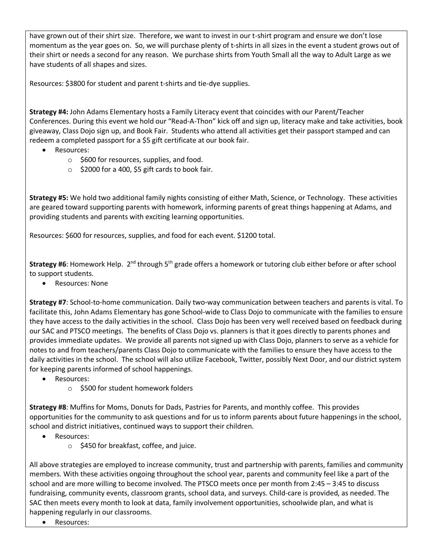have grown out of their shirt size. Therefore, we want to invest in our t-shirt program and ensure we don't lose momentum as the year goes on. So, we will purchase plenty of t-shirts in all sizes in the event a student grows out of their shirt or needs a second for any reason. We purchase shirts from Youth Small all the way to Adult Large as we have students of all shapes and sizes.

Resources: \$3800 for student and parent t-shirts and tie-dye supplies.

**Strategy #4:** John Adams Elementary hosts a Family Literacy event that coincides with our Parent/Teacher Conferences. During this event we hold our "Read-A-Thon" kick off and sign up, literacy make and take activities, book giveaway, Class Dojo sign up, and Book Fair. Students who attend all activities get their passport stamped and can redeem a completed passport for a \$5 gift certificate at our book fair.

- Resources:
	- $\circ$  \$600 for resources, supplies, and food.
	- $\circ$  \$2000 for a 400, \$5 gift cards to book fair.

**Strategy #5:** We hold two additional family nights consisting of either Math, Science, or Technology. These activities are geared toward supporting parents with homework, informing parents of great things happening at Adams, and providing students and parents with exciting learning opportunities.

Resources: \$600 for resources, supplies, and food for each event. \$1200 total.

Strategy #6: Homework Help. 2<sup>nd</sup> through 5<sup>th</sup> grade offers a homework or tutoring club either before or after school to support students.

• Resources: None

**Strategy #7**: School-to-home communication. Daily two-way communication between teachers and parents is vital. To facilitate this, John Adams Elementary has gone School-wide to Class Dojo to communicate with the families to ensure they have access to the daily activities in the school. Class Dojo has been very well received based on feedback during our SAC and PTSCO meetings. The benefits of Class Dojo vs. planners is that it goes directly to parents phones and provides immediate updates. We provide all parents not signed up with Class Dojo, planners to serve as a vehicle for notes to and from teachers/parents Class Dojo to communicate with the families to ensure they have access to the daily activities in the school. The school will also utilize Facebook, Twitter, possibly Next Door, and our district system for keeping parents informed of school happenings.

- Resources:
	- o \$500 for student homework folders

**Strategy #8**: Muffins for Moms, Donuts for Dads, Pastries for Parents, and monthly coffee. This provides opportunities for the community to ask questions and for us to inform parents about future happenings in the school, school and district initiatives, continued ways to support their children.

- Resources:
	- o \$450 for breakfast, coffee, and juice.

All above strategies are employed to increase community, trust and partnership with parents, families and community members. With these activities ongoing throughout the school year, parents and community feel like a part of the school and are more willing to become involved. The PTSCO meets once per month from 2:45 – 3:45 to discuss fundraising, community events, classroom grants, school data, and surveys. Child-care is provided, as needed. The SAC then meets every month to look at data, family involvement opportunities, schoolwide plan, and what is happening regularly in our classrooms.

Resources: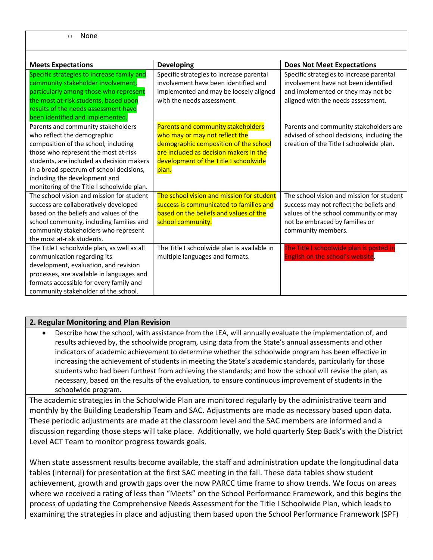| <b>Meets Expectations</b>                   | <b>Developing</b>                           | <b>Does Not Meet Expectations</b>          |
|---------------------------------------------|---------------------------------------------|--------------------------------------------|
| Specific strategies to increase family and  | Specific strategies to increase parental    | Specific strategies to increase parental   |
| community stakeholder involvement,          | involvement have been identified and        | involvement have not been identified       |
| particularly among those who represent      | implemented and may be loosely aligned      | and implemented or they may not be         |
| the most at-risk students, based upon       | with the needs assessment.                  | aligned with the needs assessment.         |
| results of the needs assessment have        |                                             |                                            |
| been identified and implemented.            |                                             |                                            |
| Parents and community stakeholders          | Parents and community stakeholders          | Parents and community stakeholders are     |
| who reflect the demographic                 | who may or may not reflect the              | advised of school decisions, including the |
| composition of the school, including        | demographic composition of the school       | creation of the Title I schoolwide plan.   |
| those who represent the most at-risk        | are included as decision makers in the      |                                            |
| students, are included as decision makers   | development of the Title I schoolwide       |                                            |
| in a broad spectrum of school decisions,    | plan.                                       |                                            |
| including the development and               |                                             |                                            |
| monitoring of the Title I schoolwide plan.  |                                             |                                            |
| The school vision and mission for student   | The school vision and mission for student   | The school vision and mission for student  |
| success are collaboratively developed       | success is communicated to families and     | success may not reflect the beliefs and    |
| based on the beliefs and values of the      | based on the beliefs and values of the      | values of the school community or may      |
| school community, including families and    | school community.                           | not be embraced by families or             |
| community stakeholders who represent        |                                             | community members.                         |
| the most at-risk students.                  |                                             |                                            |
| The Title I schoolwide plan, as well as all | The Title I schoolwide plan is available in | The Title I schoolwide plan is posted in   |
| communication regarding its                 | multiple languages and formats.             | English on the school's website.           |
| development, evaluation, and revision       |                                             |                                            |
| processes, are available in languages and   |                                             |                                            |
| formats accessible for every family and     |                                             |                                            |
| community stakeholder of the school.        |                                             |                                            |

### **2. Regular Monitoring and Plan Revision**

• Describe how the school, with assistance from the LEA, will annually evaluate the implementation of, and results achieved by, the schoolwide program, using data from the State's annual assessments and other indicators of academic achievement to determine whether the schoolwide program has been effective in increasing the achievement of students in meeting the State's academic standards, particularly for those students who had been furthest from achieving the standards; and how the school will revise the plan, as necessary, based on the results of the evaluation, to ensure continuous improvement of students in the schoolwide program.

The academic strategies in the Schoolwide Plan are monitored regularly by the administrative team and monthly by the Building Leadership Team and SAC. Adjustments are made as necessary based upon data. These periodic adjustments are made at the classroom level and the SAC members are informed and a discussion regarding those steps will take place. Additionally, we hold quarterly Step Back's with the District Level ACT Team to monitor progress towards goals.

When state assessment results become available, the staff and administration update the longitudinal data tables (internal) for presentation at the first SAC meeting in the fall. These data tables show student achievement, growth and growth gaps over the now PARCC time frame to show trends. We focus on areas where we received a rating of less than "Meets" on the School Performance Framework, and this begins the process of updating the Comprehensive Needs Assessment for the Title I Schoolwide Plan, which leads to examining the strategies in place and adjusting them based upon the School Performance Framework (SPF)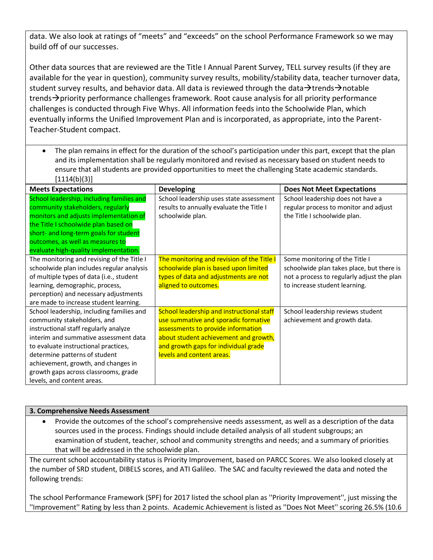data. We also look at ratings of "meets" and "exceeds" on the school Performance Framework so we may build off of our successes.

Other data sources that are reviewed are the Title I Annual Parent Survey, TELL survey results (if they are available for the year in question), community survey results, mobility/stability data, teacher turnover data, student survey results, and behavior data. All data is reviewed through the data $\rightarrow$ trends $\rightarrow$ notable trends $\rightarrow$  priority performance challenges framework. Root cause analysis for all priority performance challenges is conducted through Five Whys. All information feeds into the Schoolwide Plan, which eventually informs the Unified Improvement Plan and is incorporated, as appropriate, into the Parent-Teacher-Student compact.

• The plan remains in effect for the duration of the school's participation under this part, except that the plan and its implementation shall be regularly monitored and revised as necessary based on student needs to ensure that all students are provided opportunities to meet the challenging State academic standards.  $[1114(b)(3)]$ 

| <b>Meets Expectations</b>                  | <b>Developing</b>                          | <b>Does Not Meet Expectations</b>          |
|--------------------------------------------|--------------------------------------------|--------------------------------------------|
| School leadership, including families and  | School leadership uses state assessment    | School leadership does not have a          |
| community stakeholders, regularly          | results to annually evaluate the Title I   | regular process to monitor and adjust      |
| monitors and adjusts implementation of     | schoolwide plan.                           | the Title I schoolwide plan.               |
| the Title I schoolwide plan based on       |                                            |                                            |
| short- and long-term goals for student     |                                            |                                            |
| outcomes, as well as measures to           |                                            |                                            |
| evaluate high-quality implementation.      |                                            |                                            |
| The monitoring and revising of the Title I | The monitoring and revision of the Title I | Some monitoring of the Title I             |
| schoolwide plan includes regular analysis  | schoolwide plan is based upon limited      | schoolwide plan takes place, but there is  |
| of multiple types of data (i.e., student   | types of data and adjustments are not      | not a process to regularly adjust the plan |
| learning, demographic, process,            | aligned to outcomes.                       | to increase student learning.              |
| perception) and necessary adjustments      |                                            |                                            |
| are made to increase student learning.     |                                            |                                            |
| School leadership, including families and  | School leadership and instructional staff  | School leadership reviews student          |
| community stakeholders, and                | use summative and sporadic formative       | achievement and growth data.               |
| instructional staff regularly analyze      | assessments to provide information         |                                            |
| interim and summative assessment data      | about student achievement and growth,      |                                            |
| to evaluate instructional practices,       | and growth gaps for individual grade       |                                            |
| determine patterns of student              | levels and content areas.                  |                                            |
| achievement, growth, and changes in        |                                            |                                            |
| growth gaps across classrooms, grade       |                                            |                                            |
| levels, and content areas.                 |                                            |                                            |

#### **3. Comprehensive Needs Assessment**

• Provide the outcomes of the school's comprehensive needs assessment, as well as a description of the data sources used in the process. Findings should include detailed analysis of all student subgroups; an examination of student, teacher, school and community strengths and needs; and a summary of priorities that will be addressed in the schoolwide plan.

The current school accountability status is Priority Improvement, based on PARCC Scores. We also looked closely at the number of SRD student, DIBELS scores, and ATI Galileo. The SAC and faculty reviewed the data and noted the following trends:

The school Performance Framework (SPF) for 2017 listed the school plan as ''Priority Improvement'', just missing the ''Improvement'' Rating by less than 2 points. Academic Achievement is listed as ''Does Not Meet'' scoring 26.5% (10.6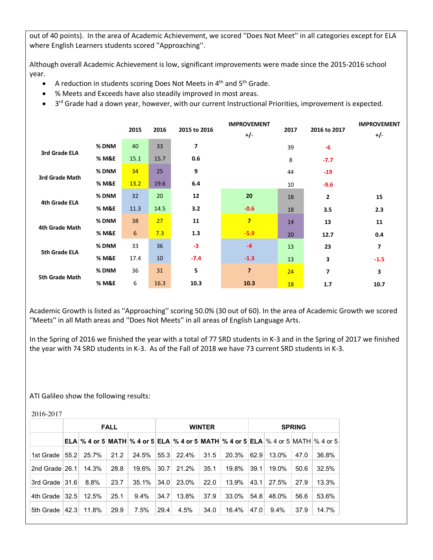out of 40 points). In the area of Academic Achievement, we scored ''Does Not Meet'' in all categories except for ELA where English Learners students scored ''Approaching''.

Although overall Academic Achievement is low, significant improvements were made since the 2015-2016 school year.

- A reduction in students scoring Does Not Meets in  $4<sup>th</sup>$  and  $5<sup>th</sup>$  Grade.
- % Meets and Exceeds have also steadily improved in most areas.
- $\bullet$  3<sup>rd</sup> Grade had a down year, however, with our current Instructional Priorities, improvement is expected.

|                      |       | 2015 | 2016 | 2015 to 2016   | <b>IMPROVEMENT</b><br>$+/-$ | 2017 | 2016 to 2017 | <b>IMPROVEMENT</b><br>$+/-$ |
|----------------------|-------|------|------|----------------|-----------------------------|------|--------------|-----------------------------|
| 3rd Grade ELA        | % DNM | 40   | 33   | $\overline{7}$ |                             | 39   | -6           |                             |
|                      | % M&E | 15.1 | 15.7 | 0.6            |                             | 8    | $-7.7$       |                             |
| 3rd Grade Math       | % DNM | 34   | 25   | 9              |                             | 44   | $-19$        |                             |
|                      | % M&E | 13.2 | 19.6 | 6.4            |                             | 10   | $-9.6$       |                             |
| <b>4th Grade ELA</b> | % DNM | 32   | 20   | 12             | 20                          | 18   | 2            | 15                          |
|                      | % M&E | 11.3 | 14.5 | 3.2            | $-0.6$                      | 18   | 3.5          | 2.3                         |
| 4th Grade Math       | % DNM | 38   | 27   | 11             | $\overline{7}$              | 14   | 13           | 11                          |
|                      | % M&E | 6    | 7.3  | 1.3            | $-5.9$                      | 20   | 12.7         | 0.4                         |
| 5th Grade ELA        | % DNM | 33   | 36   | $-3$           | $-4$                        | 13   | 23           | 7                           |
|                      | % M&E | 17.4 | 10   | $-7.4$         | $-1.3$                      | 13   | 3            | $-1.5$                      |
| 5th Grade Math       | % DNM | 36   | 31   | 5              | $\overline{7}$              | 24   | 7            | 3                           |
|                      | % M&E | 6    | 16.3 | 10.3           | 10.3                        | 18   | 1.7          | 10.7                        |

Academic Growth is listed as ''Approaching'' scoring 50.0% (30 out of 60). In the area of Academic Growth we scored ''Meets'' in all Math areas and ''Does Not Meets'' in all areas of English Language Arts.

In the Spring of 2016 we finished the year with a total of 77 SRD students in K-3 and in the Spring of 2017 we finished the year with 74 SRD students in K-3. As of the Fall of 2018 we have 73 current SRD students in K-3.

#### ATI Galileo show the following results:

|                  | <b>FALL</b> |                                                                                                    |      | <b>WINTER</b> |      |       |      | <b>SPRING</b> |      |         |      |       |
|------------------|-------------|----------------------------------------------------------------------------------------------------|------|---------------|------|-------|------|---------------|------|---------|------|-------|
|                  |             | ELA $\%$ 4 or 5 MATH $\%$ 4 or 5 ELA $\%$ 4 or 5 MATH $\%$ 4 or 5 ELA $\%$ 4 or 5 MATH $\%$ 4 or 5 |      |               |      |       |      |               |      |         |      |       |
| 1st Grade        | 55.2        | 25.7%                                                                                              | 21.2 | 24.5%         | 55.3 | 22.4% | 31.5 | 20.3%         | 62.9 | 13.0%   | 47.0 | 36.8% |
| 2nd Grade $26.1$ |             | 14.3%                                                                                              | 28.8 | 19.6%         | 30.7 | 21.2% | 35.1 | 19.8%         | 39.1 | 19.0%   | 50.6 | 32.5% |
| 3rd Grade   31.6 |             | 8.8%                                                                                               | 23.7 | 35.1%         | 34.0 | 23.0% | 22.0 | 13.9%         | 43.1 | 27.5%   | 27.9 | 13.3% |
| 4th Grade        | 32.5        | 12.5%                                                                                              | 25.1 | $9.4\%$       | 34.7 | 13.8% | 37.9 | 33.0%         | 54.8 | 48.0%   | 56.6 | 53.6% |
| 5th Grade        | 42.3        | 11.8%                                                                                              | 29.9 | 7.5%          | 29.4 | 4.5%  | 34.0 | 16.4%         | 47.0 | $9.4\%$ | 37.9 | 14.7% |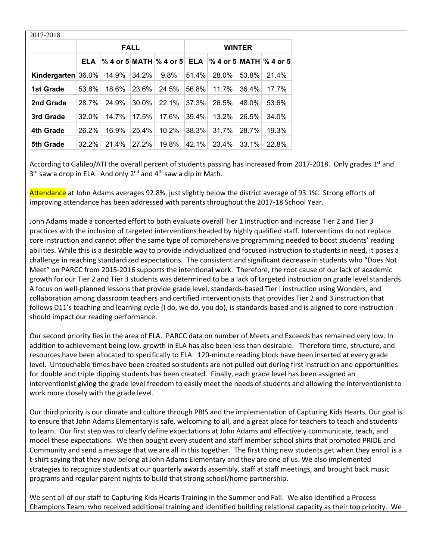| 2017-2018          |       |       |             |                            |               |                        |          |       |  |
|--------------------|-------|-------|-------------|----------------------------|---------------|------------------------|----------|-------|--|
|                    |       |       | <b>FALL</b> |                            | <b>WINTER</b> |                        |          |       |  |
|                    | ELA   |       |             | $%$ 4 or 5 MATH $%$ 4 or 5 | <b>ELA</b>    | % 4 or 5 MATH % 4 or 5 |          |       |  |
| Kindergarten 36.0% |       | 14.9% | 34.2%       | 9.8%                       | 51.4%         | 28.0%                  | $53.8\%$ | 21.4% |  |
| 1st Grade          | 53.8% | 18.6% | 23.6%       | 24.5%                      | 56.8%         | 11.7%                  | 36.4%    | 17.7% |  |
| 2nd Grade          | 28.7% | 24.9% | 30.0%       | 22.1%                      | 37.3%         | 26.5%                  | 48.0%    | 53.6% |  |
| 3rd Grade          | 32.0% | 14.7% | $17.5\%$    | 17.6%                      | 39.4%         | 13.2%                  | 26.5%    | 34.0% |  |
| 4th Grade          | 26.2% | 16.9% | 25.4%       | 10.2%                      | 38.3%         | 31.7%                  | 28.7%    | 19.3% |  |
| 5th Grade          | 32.2% | 21.4% | 27.2%       | 19.8%                      | 42.1%         | 23.4%                  | 33.1%    | 22.8% |  |

According to Galileo/ATI the overall percent of students passing has increased from 2017-2018. Only grades  $1<sup>st</sup>$  and  $3<sup>rd</sup>$  saw a drop in ELA. And only  $2<sup>nd</sup>$  and  $4<sup>th</sup>$  saw a dip in Math.

Attendance at John Adams averages 92.8%, just slightly below the district average of 93.1%. Strong efforts of improving attendance has been addressed with parents throughout the 2017-18 School Year.

John Adams made a concerted effort to both evaluate overall Tier 1 instruction and increase Tier 2 and Tier 3 practices with the inclusion of targeted interventions headed by highly qualified staff. Interventions do not replace core instruction and cannot offer the same type of comprehensive programming needed to boost students' reading abilities. While this is a desirable way to provide individualized and focused instruction to students in need, it poses a challenge in reaching standardized expectations. The consistent and significant decrease in students who "Does Not Meet" on PARCC from 2015-2016 supports the intentional work. Therefore, the root cause of our lack of academic growth for our Tier 2 and Tier 3 students was determined to be a lack of targeted instruction on grade level standards. A focus on well-planned lessons that provide grade level, standards-based Tier I instruction using Wonders, and collaboration among classroom teachers and certified interventionists that provides Tier 2 and 3 instruction that follows D11's teaching and learning cycle (I do, we do, you do), is standards-based and is aligned to core instruction should impact our reading performance.

Our second priority lies in the area of ELA. PARCC data on number of Meets and Exceeds has remained very low. In addition to achievement being low, growth in ELA has also been less than desirable. Therefore time, structure, and resources have been allocated to specifically to ELA. 120-minute reading block have been inserted at every grade level. Untouchable times have been created so students are not pulled out during first instruction and opportunities for double and triple dipping students has been created. Finally, each grade level has been assigned an interventionist giving the grade level freedom to easily meet the needs of students and allowing the interventionist to work more closely with the grade level.

Our third priority is our climate and culture through PBIS and the implementation of Capturing Kids Hearts. Our goal is to ensure that John Adams Elementary is safe, welcoming to all, and a great place for teachers to teach and students to learn. Our first step was to clearly define expectations at John Adams and effectively communicate, teach, and model these expectations. We then bought every student and staff member school shirts that promoted PRIDE and Community and send a message that we are all in this together. The first thing new students get when they enroll is a t-shirt saying that they now belong at John Adams Elementary and they are one of us. We also implemented strategies to recognize students at our quarterly awards assembly, staff at staff meetings, and brought back music programs and regular parent nights to build that strong school/home partnership.

We sent all of our staff to Capturing Kids Hearts Training in the Summer and Fall. We also identified a Process Champions Team, who received additional training and identified building relational capacity as their top priority. We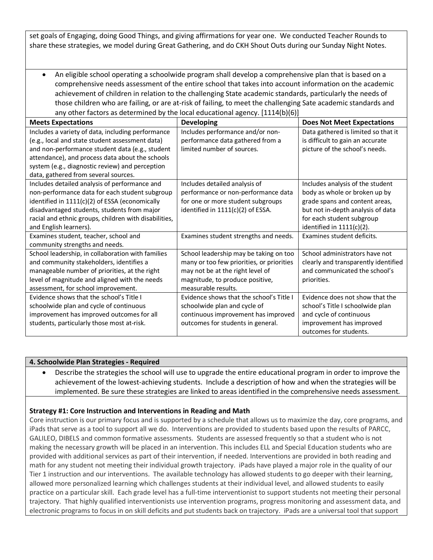set goals of Engaging, doing Good Things, and giving affirmations for year one. We conducted Teacher Rounds to share these strategies, we model during Great Gathering, and do CKH Shout Outs during our Sunday Night Notes.

• An eligible school operating a schoolwide program shall develop a comprehensive plan that is based on a comprehensive needs assessment of the entire school that takes into account information on the academic achievement of children in relation to the challenging State academic standards, particularly the needs of those children who are failing, or are at-risk of failing, to meet the challenging Sate academic standards and any other factors as determined by the local educational agency. [1114(b)(6)]

| <b>Meets Expectations</b>                             | <b>Developing</b>                         | <b>Does Not Meet Expectations</b>    |
|-------------------------------------------------------|-------------------------------------------|--------------------------------------|
| Includes a variety of data, including performance     | Includes performance and/or non-          | Data gathered is limited so that it  |
| (e.g., local and state student assessment data)       | performance data gathered from a          | is difficult to gain an accurate     |
|                                                       |                                           |                                      |
| and non-performance student data (e.g., student       | limited number of sources.                | picture of the school's needs.       |
| attendance), and process data about the schools       |                                           |                                      |
| system (e.g., diagnostic review) and perception       |                                           |                                      |
| data, gathered from several sources.                  |                                           |                                      |
| Includes detailed analysis of performance and         | Includes detailed analysis of             | Includes analysis of the student     |
| non-performance data for each student subgroup        | performance or non-performance data       | body as whole or broken up by        |
| identified in 1111(c)(2) of ESSA (economically        | for one or more student subgroups         | grade spans and content areas,       |
| disadvantaged students, students from major           | identified in 1111(c)(2) of ESSA.         | but not in-depth analysis of data    |
| racial and ethnic groups, children with disabilities, |                                           | for each student subgroup            |
| and English learners).                                |                                           | identified in $1111(c)(2)$ .         |
| Examines student, teacher, school and                 | Examines student strengths and needs.     | Examines student deficits.           |
| community strengths and needs.                        |                                           |                                      |
| School leadership, in collaboration with families     | School leadership may be taking on too    | School administrators have not       |
| and community stakeholders, identifies a              | many or too few priorities, or priorities | clearly and transparently identified |
| manageable number of priorities, at the right         | may not be at the right level of          | and communicated the school's        |
| level of magnitude and aligned with the needs         | magnitude, to produce positive,           | priorities.                          |
| assessment, for school improvement.                   | measurable results.                       |                                      |
| Evidence shows that the school's Title I              | Evidence shows that the school's Title I  | Evidence does not show that the      |
| schoolwide plan and cycle of continuous               | schoolwide plan and cycle of              | school's Title I schoolwide plan     |
| improvement has improved outcomes for all             | continuous improvement has improved       | and cycle of continuous              |
| students, particularly those most at-risk.            | outcomes for students in general.         | improvement has improved             |
|                                                       |                                           | outcomes for students.               |

#### **4. Schoolwide Plan Strategies - Required**

• Describe the strategies the school will use to upgrade the entire educational program in order to improve the achievement of the lowest-achieving students. Include a description of how and when the strategies will be implemented. Be sure these strategies are linked to areas identified in the comprehensive needs assessment.

#### **Strategy #1: Core Instruction and Interventions in Reading and Math**

Core instruction is our primary focus and is supported by a schedule that allows us to maximize the day, core programs, and iPads that serve as a tool to support all we do. Interventions are provided to students based upon the results of PARCC, GALILEO, DIBELS and common formative assessments. Students are assessed frequently so that a student who is not making the necessary growth will be placed in an intervention. This includes ELL and Special Education students who are provided with additional services as part of their intervention, if needed. Interventions are provided in both reading and math for any student not meeting their individual growth trajectory. iPads have played a major role in the quality of our Tier 1 instruction and our interventions. The available technology has allowed students to go deeper with their learning, allowed more personalized learning which challenges students at their individual level, and allowed students to easily practice on a particular skill. Each grade level has a full-time interventionist to support students not meeting their personal trajectory. That highly qualified interventionists use intervention programs, progress monitoring and assessment data, and electronic programs to focus in on skill deficits and put students back on trajectory. iPads are a universal tool that support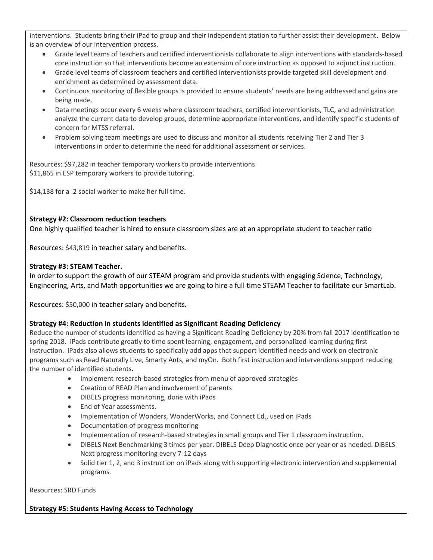interventions. Students bring their iPad to group and their independent station to further assist their development. Below is an overview of our intervention process.

- Grade level teams of teachers and certified interventionists collaborate to align interventions with standards-based core instruction so that interventions become an extension of core instruction as opposed to adjunct instruction.
- Grade level teams of classroom teachers and certified interventionists provide targeted skill development and enrichment as determined by assessment data.
- Continuous monitoring of flexible groups is provided to ensure students' needs are being addressed and gains are being made.
- Data meetings occur every 6 weeks where classroom teachers, certified interventionists, TLC, and administration analyze the current data to develop groups, determine appropriate interventions, and identify specific students of concern for MTSS referral.
- Problem solving team meetings are used to discuss and monitor all students receiving Tier 2 and Tier 3 interventions in order to determine the need for additional assessment or services.

Resources: \$97,282 in teacher temporary workers to provide interventions \$11,865 in ESP temporary workers to provide tutoring.

\$14,138 for a .2 social worker to make her full time.

### **Strategy #2: Classroom reduction teachers**

One highly qualified teacher is hired to ensure classroom sizes are at an appropriate student to teacher ratio

Resources: \$43,819 in teacher salary and benefits.

#### **Strategy #3: STEAM Teacher.**

In order to support the growth of our STEAM program and provide students with engaging Science, Technology, Engineering, Arts, and Math opportunities we are going to hire a full time STEAM Teacher to facilitate our SmartLab.

Resources: \$50,000 in teacher salary and benefits.

### **Strategy #4: Reduction in students identified as Significant Reading Deficiency**

Reduce the number of students identified as having a Significant Reading Deficiency by 20% from fall 2017 identification to spring 2018. iPads contribute greatly to time spent learning, engagement, and personalized learning during first instruction. iPads also allows students to specifically add apps that support identified needs and work on electronic programs such as Read Naturally Live, Smarty Ants, and myOn. Both first instruction and interventions support reducing the number of identified students.

- Implement research-based strategies from menu of approved strategies
- Creation of READ Plan and involvement of parents
- DIBELS progress monitoring, done with iPads
- End of Year assessments.
- Implementation of Wonders, WonderWorks, and Connect Ed., used on iPads
- Documentation of progress monitoring
- Implementation of research-based strategies in small groups and Tier 1 classroom instruction.
- DIBELS Next Benchmarking 3 times per year. DIBELS Deep Diagnostic once per year or as needed. DIBELS Next progress monitoring every 7-12 days
- Solid tier 1, 2, and 3 instruction on iPads along with supporting electronic intervention and supplemental programs.

Resources: SRD Funds

### **Strategy #5: Students Having Access to Technology**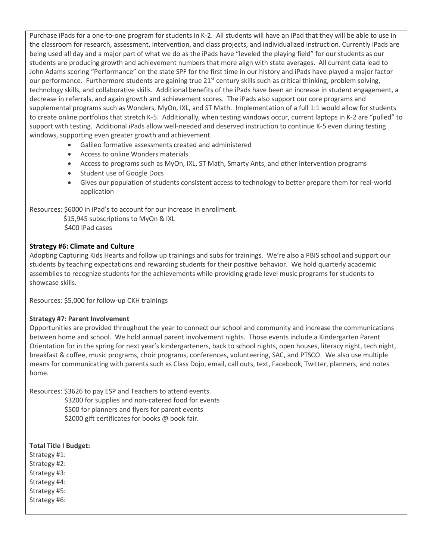Purchase iPads for a one-to-one program for students in K-2. All students will have an iPad that they will be able to use in the classroom for research, assessment, intervention, and class projects, and individualized instruction. Currently iPads are being used all day and a major part of what we do as the iPads have "leveled the playing field" for our students as our students are producing growth and achievement numbers that more align with state averages. All current data lead to John Adams scoring "Performance" on the state SPF for the first time in our history and iPads have played a major factor our performance. Furthermore students are gaining true 21<sup>st</sup> century skills such as critical thinking, problem solving, technology skills, and collaborative skills. Additional benefits of the iPads have been an increase in student engagement, a decrease in referrals, and again growth and achievement scores. The iPads also support our core programs and supplemental programs such as Wonders, MyOn, IXL, and ST Math. Implementation of a full 1:1 would allow for students to create online portfolios that stretch K-5. Additionally, when testing windows occur, current laptops in K-2 are "pulled" to support with testing. Additional iPads allow well-needed and deserved instruction to continue K-5 even during testing windows, supporting even greater growth and achievement.

- Galileo formative assessments created and administered
- Access to online Wonders materials
- Access to programs such as MyOn, IXL, ST Math, Smarty Ants, and other intervention programs
- Student use of Google Docs
- Gives our population of students consistent access to technology to better prepare them for real-world application

Resources: \$6000 in iPad's to account for our increase in enrollment.

 \$15,945 subscriptions to MyOn & IXL \$400 iPad cases

### **Strategy #6: Climate and Culture**

Adopting Capturing Kids Hearts and follow up trainings and subs for trainings. We're also a PBIS school and support our students by teaching expectations and rewarding students for their positive behavior. We hold quarterly academic assemblies to recognize students for the achievements while providing grade level music programs for students to showcase skills.

Resources: \$5,000 for follow-up CKH trainings

#### **Strategy #7: Parent Involvement**

Opportunities are provided throughout the year to connect our school and community and increase the communications between home and school. We hold annual parent involvement nights. Those events include a Kindergarten Parent Orientation for in the spring for next year's kindergarteners, back to school nights, open houses, literacy night, tech night, breakfast & coffee, music programs, choir programs, conferences, volunteering, SAC, and PTSCO. We also use multiple means for communicating with parents such as Class Dojo, email, call outs, text, Facebook, Twitter, planners, and notes home.

Resources: \$3626 to pay ESP and Teachers to attend events. \$3200 for supplies and non-catered food for events \$500 for planners and flyers for parent events

\$2000 gift certificates for books @ book fair.

### **Total Title I Budget:**

Strategy #1: Strategy #2: Strategy #3: Strategy #4:

Strategy #5:

Strategy #6: